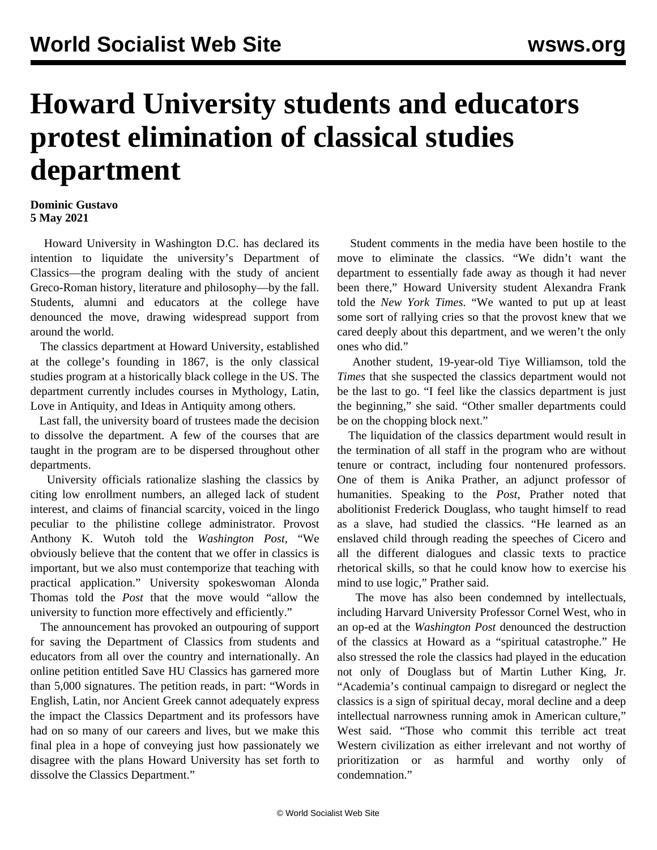## **Howard University students and educators protest elimination of classical studies department**

## **Dominic Gustavo 5 May 2021**

 Howard University in Washington D.C. has declared its intention to liquidate the university's Department of Classics—the program dealing with the study of ancient Greco-Roman history, literature and philosophy—by the fall. Students, alumni and educators at the college have denounced the move, drawing widespread support from around the world.

 The classics department at Howard University, established at the college's founding in 1867, is the only classical studies program at a historically black college in the US. The department currently includes courses in Mythology, Latin, Love in Antiquity, and Ideas in Antiquity among others.

 Last fall, the university board of trustees made the decision to dissolve the department. A few of the courses that are taught in the program are to be dispersed throughout other departments.

 University officials rationalize slashing the classics by citing low enrollment numbers, an alleged lack of student interest, and claims of financial scarcity, voiced in the lingo peculiar to the philistine college administrator. Provost Anthony K. Wutoh told the *Washington Post*, "We obviously believe that the content that we offer in classics is important, but we also must contemporize that teaching with practical application." University spokeswoman Alonda Thomas told the *Post* that the move would "allow the university to function more effectively and efficiently."

 The announcement has provoked an outpouring of support for saving the Department of Classics from students and educators from all over the country and internationally. An online petition entitled Save HU Classics has garnered more than 5,000 signatures. The petition reads, in part: "Words in English, Latin, nor Ancient Greek cannot adequately express the impact the Classics Department and its professors have had on so many of our careers and lives, but we make this final plea in a hope of conveying just how passionately we disagree with the plans Howard University has set forth to dissolve the Classics Department."

 Student comments in the media have been hostile to the move to eliminate the classics. "We didn't want the department to essentially fade away as though it had never been there," Howard University student Alexandra Frank told the *New York Times.* "We wanted to put up at least some sort of rallying cries so that the provost knew that we cared deeply about this department, and we weren't the only ones who did."

 Another student, 19-year-old Tiye Williamson, told the *Times* that she suspected the classics department would not be the last to go. "I feel like the classics department is just the beginning," she said. "Other smaller departments could be on the chopping block next."

 The liquidation of the classics department would result in the termination of all staff in the program who are without tenure or contract, including four nontenured professors. One of them is Anika Prather, an adjunct professor of humanities. Speaking to the *Post*, Prather noted that abolitionist Frederick Douglass, who taught himself to read as a slave, had studied the classics. "He learned as an enslaved child through reading the speeches of Cicero and all the different dialogues and classic texts to practice rhetorical skills, so that he could know how to exercise his mind to use logic," Prather said.

 The move has also been condemned by intellectuals, including Harvard University Professor Cornel West, who in an op-ed at the *Washington Post* denounced the destruction of the classics at Howard as a "spiritual catastrophe." He also stressed the role the classics had played in the education not only of Douglass but of Martin Luther King, Jr. "Academia's continual campaign to disregard or neglect the classics is a sign of spiritual decay, moral decline and a deep intellectual narrowness running amok in American culture," West said. "Those who commit this terrible act treat Western civilization as either irrelevant and not worthy of prioritization or as harmful and worthy only of condemnation."